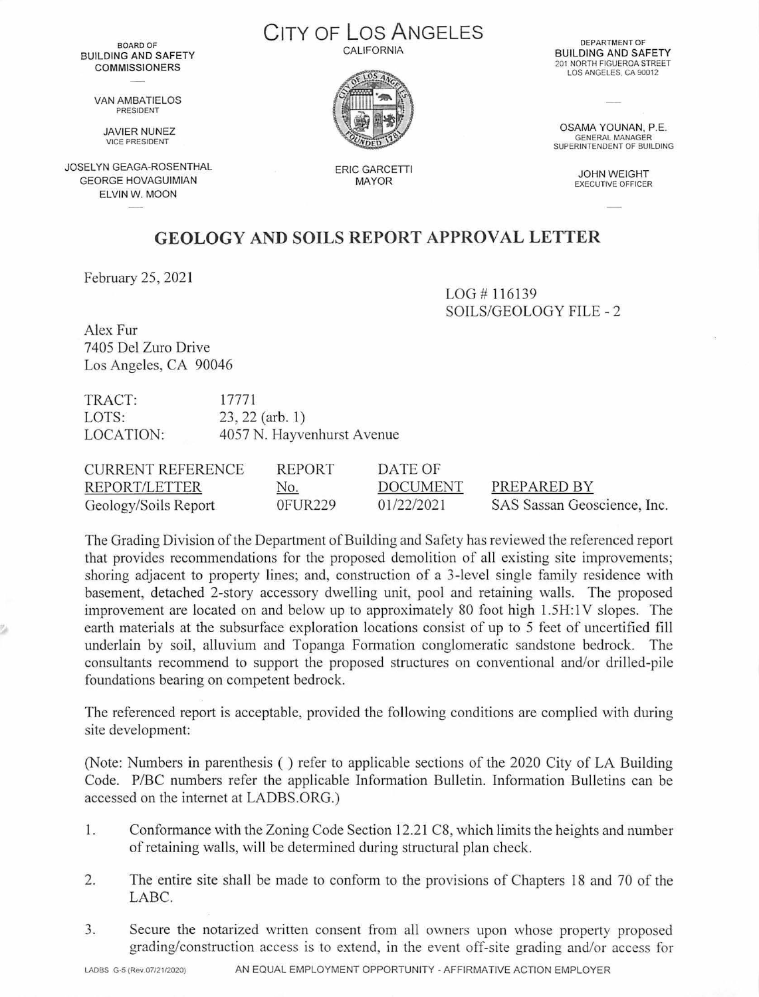BOARD OF BUILDING AND SAFETY **COMMISSIONERS** 

> VAN AMBATIELOS PRESIDENT

> > **JAVIER NUNEZ**<br>VICE PRESIDENT

JOSELYN GEAGA-ROSENTHAL GEORGE HOVAGUIMIAN ELVIN W. MOON

CITY OF Los ANGELES CALIFORNIA



ERIC GARCETTI MAYOR

DEPARTMENT OF<br>BUILDING AND SAFETY 201 NORTH FIGUEROA STREET LOS ANGELES. CA 90012

OSAMA YOUNAN, P.E. GENERAL MANAGER SUPERINTENDENT OF BUILOING

JOHN WEIGHT<br>EXECUTIVE OFFICER

## **GEOLOGY AND SOILS REPORT APPROVAL LETTER**

February 25, 2021

 $LOG #116139$ SOILS/GEOLOGY FILE - 2

Alex Fur 7405 Del Zuro Drive Los Angeles, CA 90046

TRACT: 17771 LOTS: 23, 22 (arb. 1) LOCATION: 4057 N. Hayvenhurst Avenue

| <b>CURRENT REFERENCE</b> | REPORT     | DATE OF         |                             |
|--------------------------|------------|-----------------|-----------------------------|
| REPORT/LETTER            | <u>No.</u> | <b>DOCUMENT</b> | PREPARED BY                 |
| Geology/Soils Report     | $0$ FUR229 | 01/22/2021      | SAS Sassan Geoscience, Inc. |

The Grading Division of the Department of Building and Safety has reviewed the referenced report that provides recommendations for the proposed demolition of all existing site improvements; shoring adjacent to property lines; and, construction of a 3-level single family residence with basement, detached 2-story accessory dwelling unit, pool and retaining walls. The proposed improvement are located on and below up to approximately 80 foot high 1.5H:1V slopes. The earth materials at the subsurface exploration locations consist of up to 5 feet of uncertified fill underlain by soil, alluvium and Topanga Formation conglomeratic sandstone bedrock. The consultants recommend to support the proposed structures on conventional and/or drilled-pile foundations bearing on competent bedrock.

The referenced report is acceptable, provided the following conditions are complied with during site development:

(Note: Numbers in parenthesis ( ) refer to applicable sections of the 2020 City of LA Building Code. P/BC numbers refer the applicable Information Bulletin. Information Bulletins can be accessed on the internet at LADBS.ORG.)

- 1. Conformance with the Zoning Code Section 12.21 C8, which limits the heights and number of retaining walls, will be determined during structural plan check.
- 2. The entire site shall be made to conform to the provisions of Chapters 18 and 70 of the LABC.
- 3. Secure the notarized written consent from all owners upon whose property proposed grading/construction access is to extend, in the event off-site grading and/or access for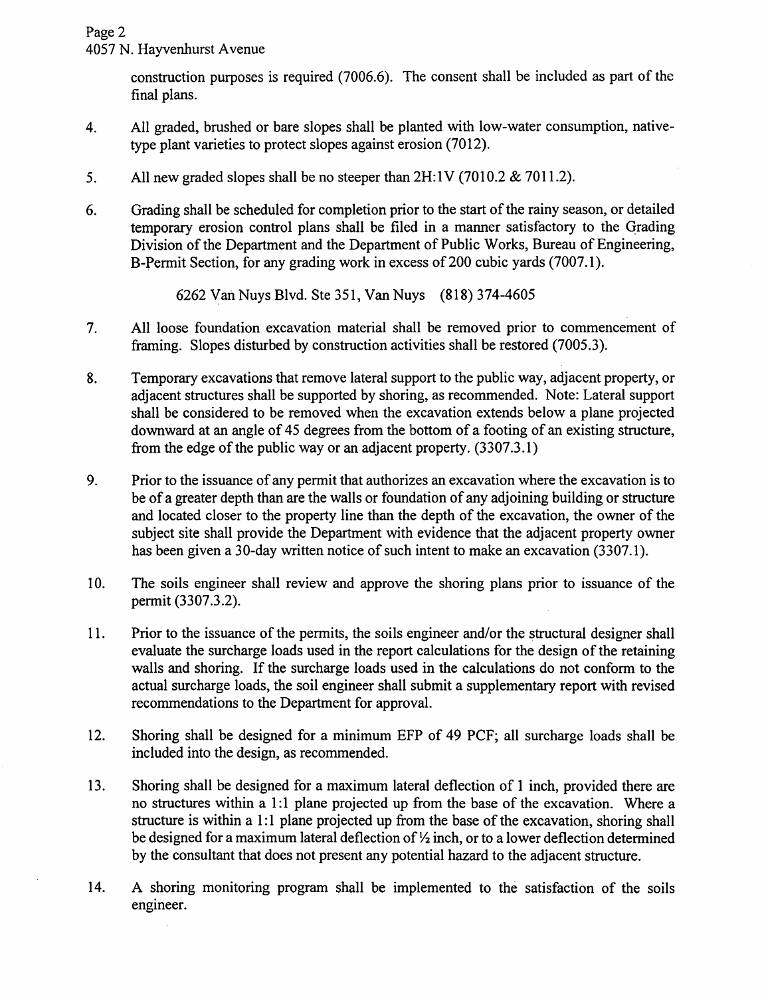Page 2

4057 N. Hayvenhurst A venue

construction purposes is required (7006.6). The consent shall be included as part of the final plans.

- 4. All graded, brushed or bare slopes shall be planted with low-water consumption, nativetype plant varieties to protect slopes against erosion (7012).
- 5. All new graded slopes shall be no steeper than  $2H:1V$  (7010.2 & 7011.2).
- 6. Grading shall be scheduled for completion prior to the start of the rainy season, or detailed temporary erosion control plans shall be filed in a manner satisfactory to the Oracling Division of the Department and the Department of Public Works, Bureau of Engineering, B-Permit Section, for any grading work in excess of 200 cubic yards (7007.1).

6262 yan Nuys Blvd. Ste 351, Van Nuys (818) 374-4605

- 7. All loose foundation excavation material shall be removed prior to commencement of framing. Slopes disturbed by construction activities shall be restored (7005.3).
- 8. Temporary excavations that remove lateral support to the public way, adjacent property, or adjacent structures shall be supported by shoring, as recommended. Note: Lateral support shall be considered to be removed when the excavation extends below a plane projected downward at an angle of 45 degrees from the bottom of a footing of an existing structure, from the edge of the public way or an adjacent property. (3307.3.1)
- 9. Prior to the issuance of any permit that authorizes an excavation where the excavation is to be of a greater depth than are the walls or foundation of any adjoining building or structure and located closer to the property line than the depth of the excavation, the owner of the subject site shall provide the Department with evidence that the adjacent property owner has been given a 30-day written notice of such intent to make an excavation (3307.1).
- 10. The soils engineer shall review and approve the shoring plans prior to issuance of the permit (3307.3.2).
- 11. Prior to the issuance of the permits, the soils engineer and/or the structural designer shall evaluate the surcharge loads used in the report calculations for the design of the retaining walls and shoring. If the surcharge loads used in the calculations do not conform to the actual surcharge loads, the soil engineer shall submit a supplementary report with revised recommendations to the Department for approval.
- 12. Shoring shall be designed for a minimum EFP of 49 PCF; all surcharge loads shall be included into the design, as recommended.
- 13. Shoring shall be designed for a maximum lateral deflection of 1 inch, provided there are no structures within a 1:1 plane projected up from the base of the excavation. Where a structure is within a 1:1 plane projected up from the base of the excavation, shoring shall be designed for a maximum lateral deflection of  $\frac{1}{2}$  inch, or to a lower deflection determined by the consultant that does not present any potential hazard to the adjacent structure.
- 14. A shoring monitoring program shall be implemented to the satisfaction of the soils engineer.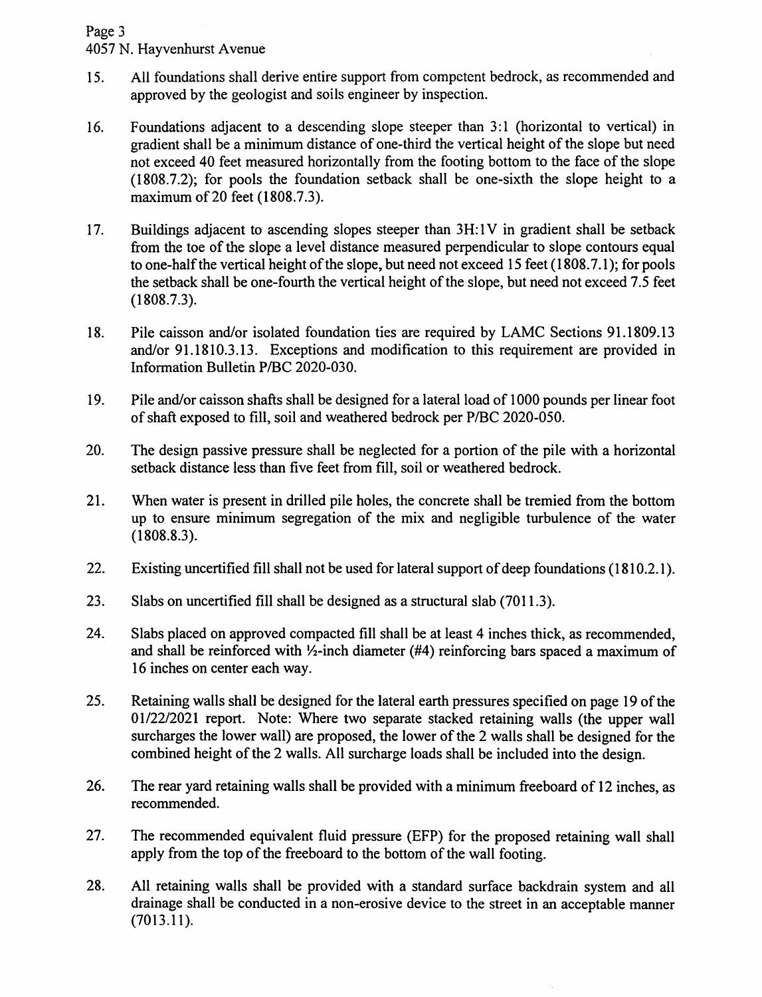## Page 3

4057 N. Hayvenhurst A venue

- 15. All foundations shall derive entire support from competent bedrock, as recommended and approved by the geologist and soils engineer by inspection.
- 16. Foundations adjacent to a descending slope steeper than 3:1 (horizontal to vertical) in gradient shall be a minimum distance of one-third the vertical height of the slope but need not exceed 40 feet measured horizontally from the footing bottom to the face of the slope (1808.7.2); for pools the foundation setback shall be one-sixth the slope height to a maximum of 20 feet (1808.7.3).
- $17.$  Buildings adjacent to ascending slopes steeper than  $3H:1V$  in gradient shall be setback from the toe of the slope a level distance measured perpendicular to slope contours equal to one-half the vertical height of the slope, but need not exceed 15 feet (1808.7.1); for pools the setback shall be one-fourth the vertical height of the slope, but need not exceed 7.5 feet (1808.7.3).
- 18. Pile caisson and/or isolated foundation ties are required by LAMC Sections 91.1809.13 and/or 91.1810.3.13. Exceptions and modification to this requirement are provided in Information Bulletin P/BC 2020-030.
- 19. Pile and/or caisson shafts shall be designed for a lateral load of 1000 pounds per linear foot of shaft exposed to fill, soil and weathered bedrock per P/BC 2020-050.
- 20. The design passive pressure shall be neglected for a portion of the pile with a horizontal setback distance less than five feet from fill, soil or weathered bedrock.
- 21. When water is present in drilled pile holes, the concrete shall be tremied from the bottom up to ensure minimum segregation of the mix and negligible turbulence of the water (1808.8.3).
- 22. Existing uncertified fill shall not be used for lateral support of deep foundations (1810.2.1).
- 23. Slabs on uncertified fill shall be designed as a structural slab (7011.3).
- 24. Slabs placed on approved compacted fill shall be at least 4 inches thick, as recommended, and shall be reinforced with ½-inch diameter (#4) reinforcing bars spaced a maximum of 16 inches on center each way.
- 25. Retaining walls shall be designed for the lateral earth pressures specified on page 19 of the 01/22/2021 report. Note: Where two separate stacked retaining walls (the upper wall surcharges the lower wall) are proposed, the lower of the 2 walls shall be designed for the combined height of the 2 walls. All surcharge loads shall be included into the design.
- 26. The rear yard retaining walls shall be provided with a minimum freeboard of 12 inches, as recommended.
- 27. The recommended equivalent fluid pressure (EFP) for the proposed retaining wall shall apply from the top of the freeboard to the bottom of the wall footing.
- 28. All retaining walls shall be provided with a standard surface backdrain system and all drainage shall be conducted in a non-erosive device to the street in an acceptable manner (7013.11).